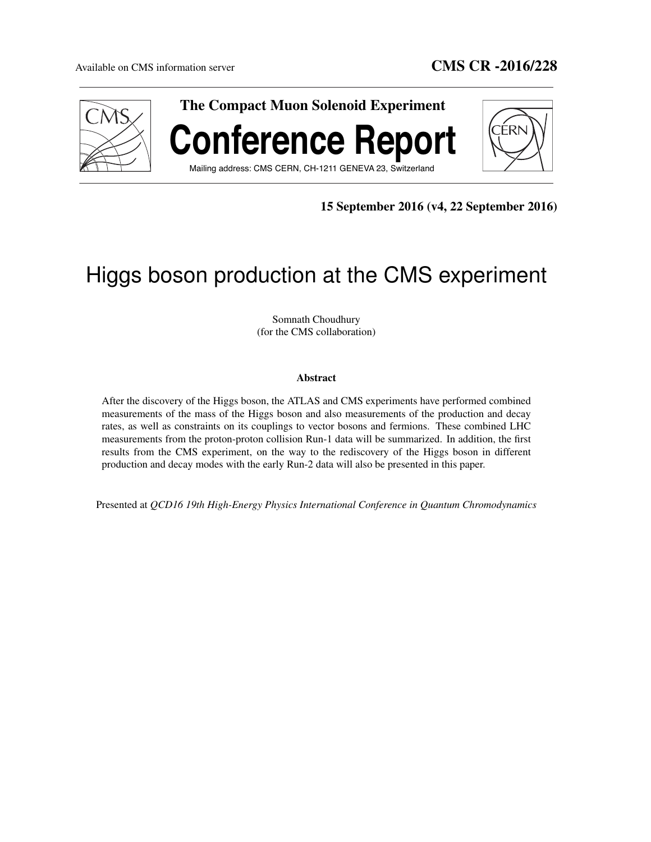

15 September 2016 (v4, 22 September 2016)

# Higgs boson production at the CMS experiment

Somnath Choudhury (for the CMS collaboration)

# Abstract

After the discovery of the Higgs boson, the ATLAS and CMS experiments have performed combined measurements of the mass of the Higgs boson and also measurements of the production and decay rates, as well as constraints on its couplings to vector bosons and fermions. These combined LHC measurements from the proton-proton collision Run-1 data will be summarized. In addition, the first results from the CMS experiment, on the way to the rediscovery of the Higgs boson in different production and decay modes with the early Run-2 data will also be presented in this paper.

Presented at *QCD16 19th High-Energy Physics International Conference in Quantum Chromodynamics*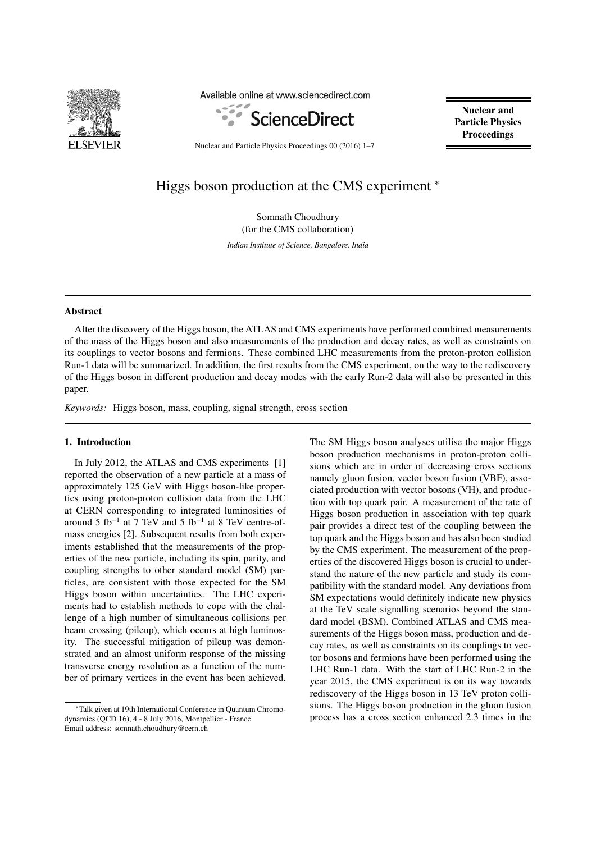

Available online at www.sciencedirect.com



Nuclear and Particle Physics **Proceedings** 

Nuclear and Particle Physics Proceedings 00 (2016) 1–7

# Higgs boson production at the CMS experiment <sup>∗</sup>

Somnath Choudhury (for the CMS collaboration)

*Indian Institute of Science, Bangalore, India*

### Abstract

After the discovery of the Higgs boson, the ATLAS and CMS experiments have performed combined measurements of the mass of the Higgs boson and also measurements of the production and decay rates, as well as constraints on its couplings to vector bosons and fermions. These combined LHC measurements from the proton-proton collision Run-1 data will be summarized. In addition, the first results from the CMS experiment, on the way to the rediscovery of the Higgs boson in different production and decay modes with the early Run-2 data will also be presented in this paper.

*Keywords:* Higgs boson, mass, coupling, signal strength, cross section

#### 1. Introduction

In July 2012, the ATLAS and CMS experiments [1] reported the observation of a new particle at a mass of approximately 125 GeV with Higgs boson-like properties using proton-proton collision data from the LHC at CERN corresponding to integrated luminosities of around 5 fb<sup>-1</sup> at 7 TeV and 5 fb<sup>-1</sup> at 8 TeV centre-ofmass energies [2]. Subsequent results from both experiments established that the measurements of the properties of the new particle, including its spin, parity, and coupling strengths to other standard model (SM) particles, are consistent with those expected for the SM Higgs boson within uncertainties. The LHC experiments had to establish methods to cope with the challenge of a high number of simultaneous collisions per beam crossing (pileup), which occurs at high luminosity. The successful mitigation of pileup was demonstrated and an almost uniform response of the missing transverse energy resolution as a function of the number of primary vertices in the event has been achieved.

The SM Higgs boson analyses utilise the major Higgs boson production mechanisms in proton-proton collisions which are in order of decreasing cross sections namely gluon fusion, vector boson fusion (VBF), associated production with vector bosons (VH), and production with top quark pair. A measurement of the rate of Higgs boson production in association with top quark pair provides a direct test of the coupling between the top quark and the Higgs boson and has also been studied by the CMS experiment. The measurement of the properties of the discovered Higgs boson is crucial to understand the nature of the new particle and study its compatibility with the standard model. Any deviations from SM expectations would definitely indicate new physics at the TeV scale signalling scenarios beyond the standard model (BSM). Combined ATLAS and CMS measurements of the Higgs boson mass, production and decay rates, as well as constraints on its couplings to vector bosons and fermions have been performed using the LHC Run-1 data. With the start of LHC Run-2 in the year 2015, the CMS experiment is on its way towards rediscovery of the Higgs boson in 13 TeV proton collisions. The Higgs boson production in the gluon fusion process has a cross section enhanced 2.3 times in the

<sup>∗</sup>Talk given at 19th International Conference in Quantum Chromodynamics (QCD 16), 4 - 8 July 2016, Montpellier - France Email address: somnath.choudhury@cern.ch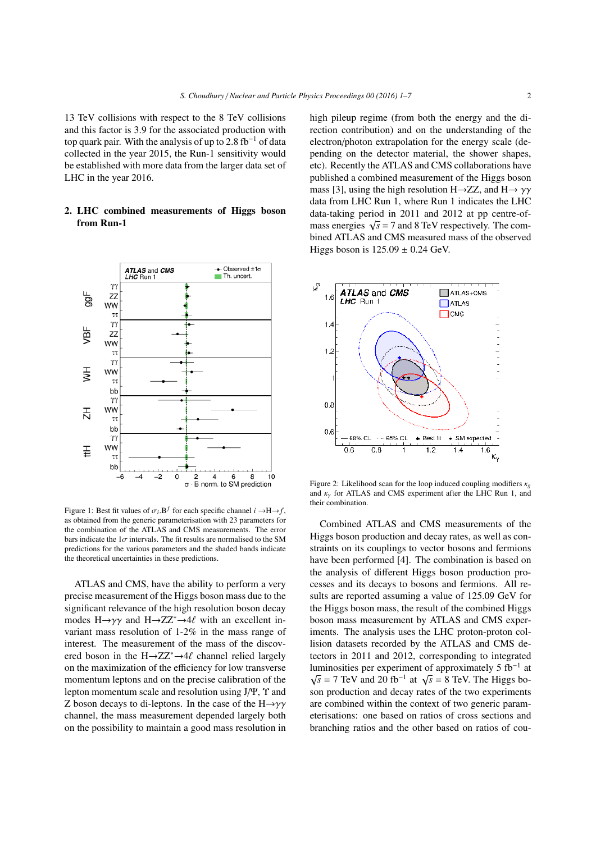13 TeV collisions with respect to the 8 TeV collisions and this factor is 3.9 for the associated production with top quark pair. With the analysis of up to 2.8 fb<sup>-1</sup> of data collected in the year 2015, the Run-1 sensitivity would be established with more data from the larger data set of LHC in the year 2016.

# 2. LHC combined measurements of Higgs boson from Run-1



Figure 1: Best fit values of  $\sigma_i \cdot B^f$  for each specific channel  $i \rightarrow H \rightarrow f$ , as obtained from the generic parameterisation with 23 parameters for the combination of the ATLAS and CMS measurements. The error bars indicate the  $1\sigma$  intervals. The fit results are normalised to the SM predictions for the various parameters and the shaded bands indicate the theoretical uncertainties in these predictions.

ATLAS and CMS, have the ability to perform a very precise measurement of the Higgs boson mass due to the significant relevance of the high resolution boson decay modes  $H\rightarrow \gamma\gamma$  and  $H\rightarrow ZZ^* \rightarrow 4\ell$  with an excellent invariant mass resolution of 1-2% in the mass range of interest. The measurement of the mass of the discovered boson in the  $H\rightarrow ZZ^* \rightarrow 4\ell$  channel relied largely on the maximization of the efficiency for low transverse momentum leptons and on the precise calibration of the lepton momentum scale and resolution using J/Ψ, Υ and Z boson decays to di-leptons. In the case of the  $H\rightarrow \gamma\gamma$ channel, the mass measurement depended largely both on the possibility to maintain a good mass resolution in

high pileup regime (from both the energy and the direction contribution) and on the understanding of the electron/photon extrapolation for the energy scale (depending on the detector material, the shower shapes, etc). Recently the ATLAS and CMS collaborations have published a combined measurement of the Higgs boson mass [3], using the high resolution H $\rightarrow$ ZZ, and H $\rightarrow \gamma\gamma$ data from LHC Run 1, where Run 1 indicates the LHC data-taking period in 2011 and 2012 at pp centre-ofmass energies  $\sqrt{s}$  = 7 and 8 TeV respectively. The combined ATLAS and CMS measured mass of the observed Higgs boson is  $125.09 \pm 0.24$  GeV.



Figure 2: Likelihood scan for the loop induced coupling modifiers κ*<sup>g</sup>* and  $\kappa<sub>y</sub>$  for ATLAS and CMS experiment after the LHC Run 1, and their combination.

Combined ATLAS and CMS measurements of the Higgs boson production and decay rates, as well as constraints on its couplings to vector bosons and fermions have been performed [4]. The combination is based on the analysis of different Higgs boson production processes and its decays to bosons and fermions. All results are reported assuming a value of 125.09 GeV for the Higgs boson mass, the result of the combined Higgs boson mass measurement by ATLAS and CMS experiments. The analysis uses the LHC proton-proton collision datasets recorded by the ATLAS and CMS detectors in 2011 and 2012, corresponding to integrated luminosities per experiment of approximately 5  $fb^{-1}$  at  $\sqrt{s}$  = 7 TeV and 20 fb<sup>-1</sup> at  $\sqrt{s}$  = 8 TeV. The Higgs boson production and decay rates of the two experiments are combined within the context of two generic parameterisations: one based on ratios of cross sections and branching ratios and the other based on ratios of cou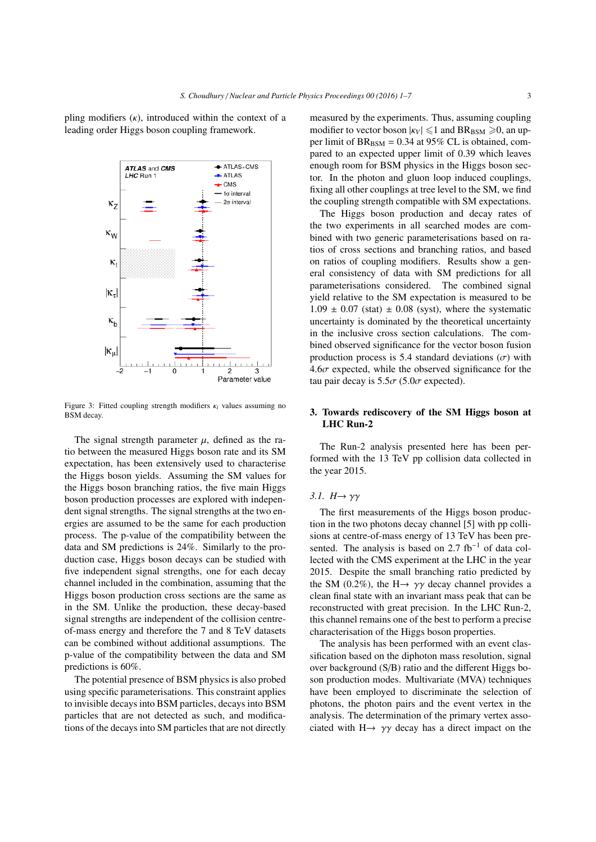pling modifiers  $(k)$ , introduced within the context of a leading order Higgs boson coupling framework.



Figure 3: Fitted coupling strength modifiers κ*<sup>i</sup>* values assuming no BSM decay.

The signal strength parameter  $\mu$ , defined as the ratio between the measured Higgs boson rate and its SM expectation, has been extensively used to characterise the Higgs boson yields. Assuming the SM values for the Higgs boson branching ratios, the five main Higgs boson production processes are explored with independent signal strengths. The signal strengths at the two energies are assumed to be the same for each production process. The p-value of the compatibility between the data and SM predictions is 24%. Similarly to the production case, Higgs boson decays can be studied with five independent signal strengths, one for each decay channel included in the combination, assuming that the Higgs boson production cross sections are the same as in the SM. Unlike the production, these decay-based signal strengths are independent of the collision centreof-mass energy and therefore the 7 and 8 TeV datasets can be combined without additional assumptions. The p-value of the compatibility between the data and SM predictions is 60%.

The potential presence of BSM physics is also probed using specific parameterisations. This constraint applies to invisible decays into BSM particles, decays into BSM particles that are not detected as such, and modifications of the decays into SM particles that are not directly

measured by the experiments. Thus, assuming coupling modifier to vector boson  $|\kappa_V| \leq 1$  and BR<sub>BSM</sub>  $\geq 0$ , an upper limit of  $BR_{BSM} = 0.34$  at 95% CL is obtained, compared to an expected upper limit of 0.39 which leaves enough room for BSM physics in the Higgs boson sector. In the photon and gluon loop induced couplings, fixing all other couplings at tree level to the SM, we find the coupling strength compatible with SM expectations.

The Higgs boson production and decay rates of the two experiments in all searched modes are combined with two generic parameterisations based on ratios of cross sections and branching ratios, and based on ratios of coupling modifiers. Results show a general consistency of data with SM predictions for all parameterisations considered. The combined signal yield relative to the SM expectation is measured to be  $1.09 \pm 0.07$  (stat)  $\pm 0.08$  (syst), where the systematic uncertainty is dominated by the theoretical uncertainty in the inclusive cross section calculations. The combined observed significance for the vector boson fusion production process is 5.4 standard deviations  $(\sigma)$  with  $4.6\sigma$  expected, while the observed significance for the tau pair decay is  $5.5\sigma$  (5.0 $\sigma$  expected).

# 3. Towards rediscovery of the SM Higgs boson at LHC Run-2

The Run-2 analysis presented here has been performed with the 13 TeV pp collision data collected in the year 2015.

#### *3.1. Η→ γγ*

The first measurements of the Higgs boson production in the two photons decay channel [5] with pp collisions at centre-of-mass energy of 13 TeV has been presented. The analysis is based on 2.7  $fb^{-1}$  of data collected with the CMS experiment at the LHC in the year 2015. Despite the small branching ratio predicted by the SM (0.2%), the H $\rightarrow \gamma \gamma$  decay channel provides a clean final state with an invariant mass peak that can be reconstructed with great precision. In the LHC Run-2, this channel remains one of the best to perform a precise characterisation of the Higgs boson properties.

The analysis has been performed with an event classification based on the diphoton mass resolution, signal over background (S/B) ratio and the different Higgs boson production modes. Multivariate (MVA) techniques have been employed to discriminate the selection of photons, the photon pairs and the event vertex in the analysis. The determination of the primary vertex associated with  $H \rightarrow \gamma \gamma$  decay has a direct impact on the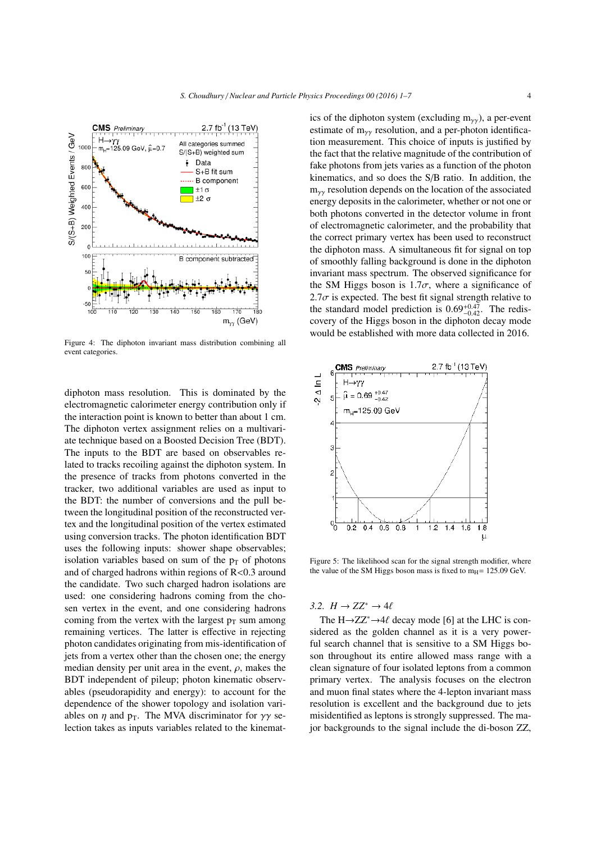

Figure 4: The diphoton invariant mass distribution combining all event categories.

diphoton mass resolution. This is dominated by the electromagnetic calorimeter energy contribution only if the interaction point is known to better than about 1 cm. The diphoton vertex assignment relies on a multivariate technique based on a Boosted Decision Tree (BDT). The inputs to the BDT are based on observables related to tracks recoiling against the diphoton system. In the presence of tracks from photons converted in the tracker, two additional variables are used as input to the BDT: the number of conversions and the pull between the longitudinal position of the reconstructed vertex and the longitudinal position of the vertex estimated using conversion tracks. The photon identification BDT uses the following inputs: shower shape observables; isolation variables based on sum of the  $p<sub>T</sub>$  of photons and of charged hadrons within regions of  $R<0.3$  around the candidate. Two such charged hadron isolations are used: one considering hadrons coming from the chosen vertex in the event, and one considering hadrons coming from the vertex with the largest  $p_T$  sum among remaining vertices. The latter is effective in rejecting photon candidates originating from mis-identification of jets from a vertex other than the chosen one; the energy median density per unit area in the event,  $\rho$ , makes the BDT independent of pileup; photon kinematic observables (pseudorapidity and energy): to account for the dependence of the shower topology and isolation variables on  $\eta$  and  $p_T$ . The MVA discriminator for  $\gamma\gamma$  selection takes as inputs variables related to the kinematics of the diphoton system (excluding  $m_{\gamma\gamma}$ ), a per-event estimate of  $m_{\gamma\gamma}$  resolution, and a per-photon identification measurement. This choice of inputs is justified by the fact that the relative magnitude of the contribution of fake photons from jets varies as a function of the photon kinematics, and so does the S/B ratio. In addition, the  $m_{\gamma\gamma}$  resolution depends on the location of the associated energy deposits in the calorimeter, whether or not one or both photons converted in the detector volume in front of electromagnetic calorimeter, and the probability that the correct primary vertex has been used to reconstruct the diphoton mass. A simultaneous fit for signal on top of smoothly falling background is done in the diphoton invariant mass spectrum. The observed significance for the SM Higgs boson is  $1.7\sigma$ , where a significance of 2.7 $\sigma$  is expected. The best fit signal strength relative to the standard model prediction is  $0.69^{+0.47}_{-0.42}$ . The rediscovery of the Higgs boson in the diphoton decay mode would be established with more data collected in 2016.



Figure 5: The likelihood scan for the signal strength modifier, where the value of the SM Higgs boson mass is fixed to  $m<sub>H</sub> = 125.09$  GeV.

# *3.2.*  $H$  →  $ZZ^*$  → 4 $\ell$

The  $H\rightarrow ZZ^* \rightarrow 4\ell$  decay mode [6] at the LHC is considered as the golden channel as it is a very powerful search channel that is sensitive to a SM Higgs boson throughout its entire allowed mass range with a clean signature of four isolated leptons from a common primary vertex. The analysis focuses on the electron and muon final states where the 4-lepton invariant mass resolution is excellent and the background due to jets misidentified as leptons is strongly suppressed. The major backgrounds to the signal include the di-boson ZZ,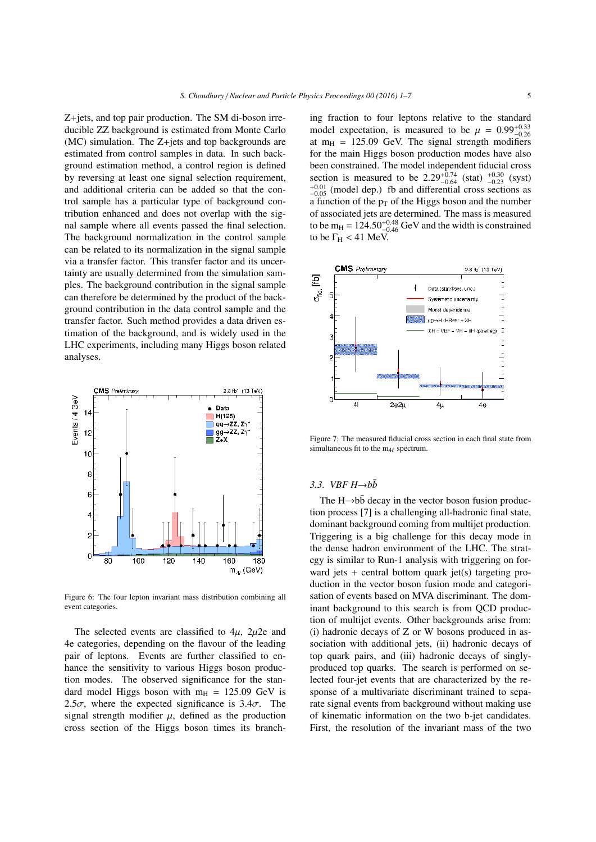Z+jets, and top pair production. The SM di-boson irreducible ZZ background is estimated from Monte Carlo (MC) simulation. The Z+jets and top backgrounds are estimated from control samples in data. In such background estimation method, a control region is defined by reversing at least one signal selection requirement, and additional criteria can be added so that the control sample has a particular type of background contribution enhanced and does not overlap with the signal sample where all events passed the final selection. The background normalization in the control sample can be related to its normalization in the signal sample via a transfer factor. This transfer factor and its uncertainty are usually determined from the simulation samples. The background contribution in the signal sample can therefore be determined by the product of the background contribution in the data control sample and the transfer factor. Such method provides a data driven estimation of the background, and is widely used in the LHC experiments, including many Higgs boson related analyses.



Figure 6: The four lepton invariant mass distribution combining all event categories.

The selected events are classified to  $4\mu$ ,  $2\mu$ 2e and 4e categories, depending on the flavour of the leading pair of leptons. Events are further classified to enhance the sensitivity to various Higgs boson production modes. The observed significance for the standard model Higgs boson with  $m_H = 125.09$  GeV is 2.5 $\sigma$ , where the expected significance is 3.4 $\sigma$ . The signal strength modifier  $\mu$ , defined as the production cross section of the Higgs boson times its branching fraction to four leptons relative to the standard model expectation, is measured to be  $\mu = 0.99^{+0.33}_{-0.26}$ at  $m_H$  = 125.09 GeV. The signal strength modifiers for the main Higgs boson production modes have also been constrained. The model independent fiducial cross section is measured to be  $2.29_{-0.64}^{+0.74}$  (stat)  $_{-0.23}^{+0.30}$  (syst)  $_{-0.05}^{+0.01}$  (model dep.) fb and differential cross sections as a function of the  $p_T$  of the Higgs boson and the number of associated jets are determined. The mass is measured to be m<sub>H</sub> =  $124.50^{+0.48}_{-0.46}$  GeV and the width is constrained to be  $\Gamma_H < 41$  MeV.



Figure 7: The measured fiducial cross section in each final state from simultaneous fit to the  $m_{4\ell}$  spectrum.

#### *3.3. VBF H→* $b\bar{b}$

The  $H\rightarrow b\bar{b}$  decay in the vector boson fusion production process [7] is a challenging all-hadronic final state, dominant background coming from multijet production. Triggering is a big challenge for this decay mode in the dense hadron environment of the LHC. The strategy is similar to Run-1 analysis with triggering on forward jets  $+$  central bottom quark jet(s) targeting production in the vector boson fusion mode and categorisation of events based on MVA discriminant. The dominant background to this search is from QCD production of multijet events. Other backgrounds arise from: (i) hadronic decays of Z or W bosons produced in association with additional jets, (ii) hadronic decays of top quark pairs, and (iii) hadronic decays of singlyproduced top quarks. The search is performed on selected four-jet events that are characterized by the response of a multivariate discriminant trained to separate signal events from background without making use of kinematic information on the two b-jet candidates. First, the resolution of the invariant mass of the two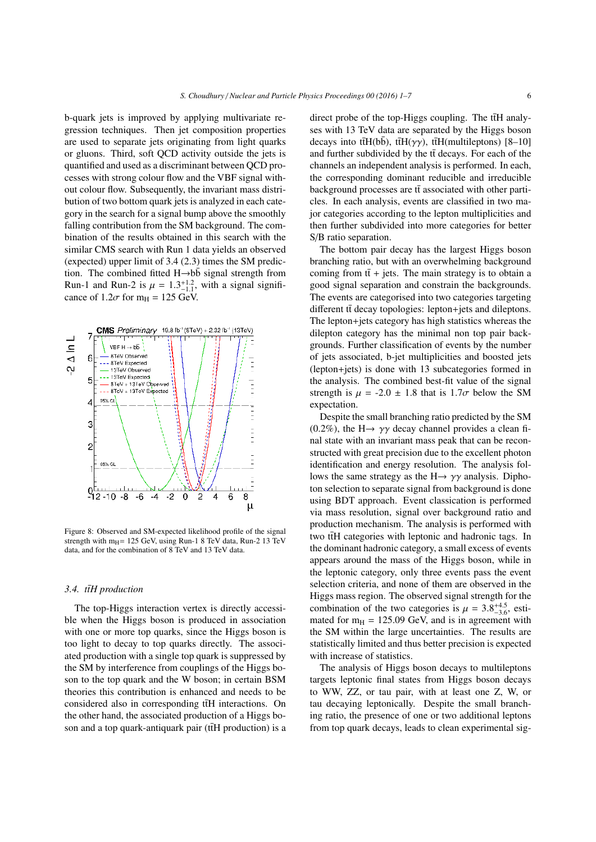b-quark jets is improved by applying multivariate regression techniques. Then jet composition properties are used to separate jets originating from light quarks or gluons. Third, soft QCD activity outside the jets is quantified and used as a discriminant between QCD processes with strong colour flow and the VBF signal without colour flow. Subsequently, the invariant mass distribution of two bottom quark jets is analyzed in each category in the search for a signal bump above the smoothly falling contribution from the SM background. The combination of the results obtained in this search with the similar CMS search with Run 1 data yields an observed (expected) upper limit of 3.4 (2.3) times the SM prediction. The combined fitted  $H\rightarrow b\bar{b}$  signal strength from Run-1 and Run-2 is  $\mu = 1.3^{+1.2}_{-1.1}$ , with a signal significance of  $1.2\sigma$  for m<sub>H</sub> = 125 GeV.



Figure 8: Observed and SM-expected likelihood profile of the signal strength with m $_{H}$ = 125 GeV, using Run-1 8 TeV data, Run-2 13 TeV data, and for the combination of 8 TeV and 13 TeV data.

#### 3.4. ttH production

The top-Higgs interaction vertex is directly accessible when the Higgs boson is produced in association with one or more top quarks, since the Higgs boson is too light to decay to top quarks directly. The associated production with a single top quark is suppressed by the SM by interference from couplings of the Higgs boson to the top quark and the W boson; in certain BSM theories this contribution is enhanced and needs to be considered also in corresponding ttH interactions. On the other hand, the associated production of a Higgs boson and a top quark-antiquark pair ( $t\bar{t}H$  production) is a

direct probe of the top-Higgs coupling. The  $t\bar{t}H$  analyses with 13 TeV data are separated by the Higgs boson decays into ttH(bb), ttH( $\gamma\gamma$ ), ttH(multileptons) [8–10] and further subdivided by the  $t\bar{t}$  decays. For each of the channels an independent analysis is performed. In each, the corresponding dominant reducible and irreducible background processes are tt associated with other particles. In each analysis, events are classified in two major categories according to the lepton multiplicities and then further subdivided into more categories for better S/B ratio separation.

The bottom pair decay has the largest Higgs boson branching ratio, but with an overwhelming background coming from  $t\bar{t}$  + jets. The main strategy is to obtain a good signal separation and constrain the backgrounds. The events are categorised into two categories targeting different  $t\bar{t}$  decay topologies: lepton+jets and dileptons. The lepton+jets category has high statistics whereas the dilepton category has the minimal non top pair backgrounds. Further classification of events by the number of jets associated, b-jet multiplicities and boosted jets (lepton+jets) is done with 13 subcategories formed in the analysis. The combined best-fit value of the signal strength is  $\mu = -2.0 \pm 1.8$  that is  $1.7\sigma$  below the SM expectation.

Despite the small branching ratio predicted by the SM (0.2%), the H $\rightarrow \gamma \gamma$  decay channel provides a clean final state with an invariant mass peak that can be reconstructed with great precision due to the excellent photon identification and energy resolution. The analysis follows the same strategy as the  $H \rightarrow \gamma \gamma$  analysis. Diphoton selection to separate signal from background is done using BDT approach. Event classication is performed via mass resolution, signal over background ratio and production mechanism. The analysis is performed with two ttH categories with leptonic and hadronic tags. In the dominant hadronic category, a small excess of events appears around the mass of the Higgs boson, while in the leptonic category, only three events pass the event selection criteria, and none of them are observed in the Higgs mass region. The observed signal strength for the combination of the two categories is  $\mu = 3.8^{+4.5}_{-3.6}$ , estimated for  $m_H = 125.09$  GeV, and is in agreement with the SM within the large uncertainties. The results are statistically limited and thus better precision is expected with increase of statistics.

The analysis of Higgs boson decays to multileptons targets leptonic final states from Higgs boson decays to WW, ZZ, or tau pair, with at least one Z, W, or tau decaying leptonically. Despite the small branching ratio, the presence of one or two additional leptons from top quark decays, leads to clean experimental sig